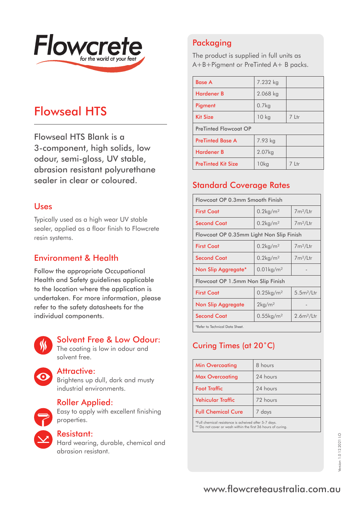

# Flowseal HTS

Flowseal HTS Blank is a 3-component, high solids, low odour, semi-gloss, UV stable, abrasion resistant polyurethane sealer in clear or coloured.

#### Uses

Typically used as a high wear UV stable sealer, applied as a floor finish to Flowcrete resin systems.

### Environment & Health

Follow the appropriate Occupational Health and Safety guidelines applicable to the location where the application is undertaken. For more information, please refer to the safety datasheets for the individual components.



#### Solvent Free & Low Odour:

The coating is low in odour and solvent free.

#### Attractive:

Brightens up dull, dark and musty industrial environments.



#### Roller Applied:

Easy to apply with excellent finishing properties.



#### Resistant:

Hard wearing, durable, chemical and abrasion resistant.

# Packaging

The product is supplied in full units as A+B+Pigment or PreTinted A+ B packs.

| <b>Base A</b>                | 7.232 kg          |       |
|------------------------------|-------------------|-------|
| <b>Hardener B</b>            | $2.068$ kg        |       |
| Pigment                      | 0.7 <sub>kq</sub> |       |
| <b>Kit Size</b>              | $10$ kg           | 7 Ltr |
| <b>PreTinted Flowcoat OP</b> |                   |       |
| <b>PreTinted Base A</b>      | 7.93 kg           |       |
| <b>Hardener B</b>            | 2.07kg            |       |
| <b>PreTinted Kit Size</b>    | 10 <sub>kg</sub>  | 7 Ltr |

# Standard Coverage Rates

| Flowcoat OP 0.3mm Smooth Finish          |                          |                        |
|------------------------------------------|--------------------------|------------------------|
| <b>First Coat</b>                        | $0.2$ kg/m <sup>2</sup>  | $7m^2/l$ tr            |
| <b>Second Coat</b>                       | $0.2$ kg/m <sup>2</sup>  | $7m^2/L$ tr            |
| Flowcoat OP 0.35mm Light Non Slip Finish |                          |                        |
| <b>First Coat</b>                        | $0.2$ kg/m <sup>2</sup>  | $7m^2/L$ tr            |
| <b>Second Coat</b>                       | $0.2$ kg/m <sup>2</sup>  | $7m^2/l$ tr            |
| Non Slip Aggregate*                      | $0.01$ kg/m <sup>2</sup> |                        |
| Flowcoat OP 1.5mm Non Slip Finish        |                          |                        |
| <b>First Coat</b>                        | $0.25$ kg/m <sup>2</sup> | 5.5m <sup>2</sup> /Ltr |
| <b>Non Slip Aggregate</b>                | $2\mathrm{kg/m^2}$       |                        |
| <b>Second Coat</b>                       | $0.55$ kg/m <sup>2</sup> | 2.6m <sup>2</sup> /Ltr |
| *Refer to Technical Data Sheet.          |                          |                        |

# Curing Times (at 20˚C)

| <b>Min Overcoating</b>                                | 8 hours  |
|-------------------------------------------------------|----------|
| <b>Max Overcoating</b>                                | 24 hours |
| <b>Foot Traffic</b>                                   | 24 hours |
| <b>Vehicular Traffic</b>                              | 72 hours |
| <b>Full Chemical Cure</b>                             | 7 days   |
| *Full chemical resistance is acheived after 5-7 days. |          |

\*Full chemical resistance is acheived after 5-7 days. \*\* Do not cover or wash within the first 36 hours of curing.

# www.flowcreteaustralia.com.au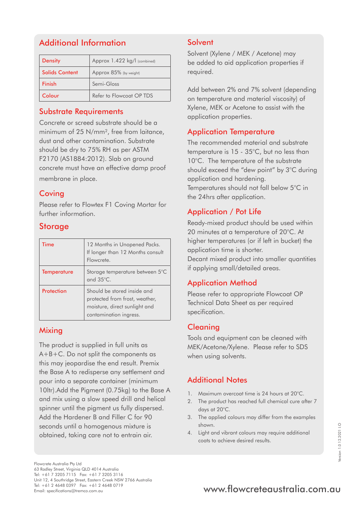# Additional Information

| <b>Density</b>        | Approx 1.422 kg/l (combined) |
|-----------------------|------------------------------|
| <b>Solids Content</b> | Approx 85% (by weight)       |
| Finish                | Semi-Gloss                   |
| Colour                | Refer to Flowcoat OP TDS     |

#### Substrate Requirements

Concrete or screed substrate should be a minimum of 25 N/mm<sup>2</sup>, free from laitance. dust and other contamination. Substrate should be dry to 75% RH as per ASTM F2170 (AS1884:2012). Slab on ground concrete must have an effective damp proof membrane in place.

#### **Coving**

Please refer to Flowtex F1 Coving Mortar for further information.

#### **Storage**

| <b>Time</b>        | 12 Months in Unopened Packs.<br>If longer than 12 Months consult<br>Flowcrete.                                           |
|--------------------|--------------------------------------------------------------------------------------------------------------------------|
| <b>Temperature</b> | Storage temperature between 5°C<br>and $35^{\circ}$ C.                                                                   |
| Protection         | Should be stored inside and<br>protected from frost, weather,<br>moisture, direct sunlight and<br>contamination ingress. |

#### **Mixing**

The product is supplied in full units as A+B+C. Do not split the components as this may jeopardise the end result. Premix the Base A to redisperse any settlement and pour into a separate container (minimum 10ltr).Add the Pigment (0.75kg) to the Base A and mix using a slow speed drill and helical spinner until the pigment us fully dispersed. Add the Hardener B and Filler C for 90 seconds until a homogenous mixture is obtained, taking care not to entrain air.

#### **Solvent**

Solvent (Xylene / MEK / Acetone) may be added to aid application properties if required.

Add between 2% and 7% solvent (depending on temperature and material viscosity) of Xylene, MEK or Acetone to assist with the application properties.

#### Application Temperature

The recommended material and substrate temperature is 15 - 35°C, but no less than 10°C. The temperature of the substrate should exceed the "dew point" by 3°C during application and hardening. Temperatures should not fall below 5°C in the 24hrs after application.

## Application / Pot Life

Ready-mixed product should be used within 20 minutes at a temperature of 20°C. At higher temperatures (or if left in bucket) the application time is shorter. Decant mixed product into smaller quantities if applying small/detailed areas.

#### Application Method

Please refer to appropriate Flowcoat OP Technical Data Sheet as per required specification.

#### **Cleaning**

Tools and equipment can be cleaned with MEK/Acetone/Xylene. Please refer to SDS when using solvents.

## Additional Notes

- 1. Maximum overcoat time is 24 hours at 20°C.
- 2. The product has reached full chemical cure after 7 days at 20°C.
- 3. The applied colours may differ from the examples shown.
- 4. Light and vibrant colours may require additional coats to achieve desired results.

# Tel: +61 2 4648 0397 Fax: +61 2 4648 0719<br>Email: specifications@tremco.com.au **www.flowcreteaustralia.com.au**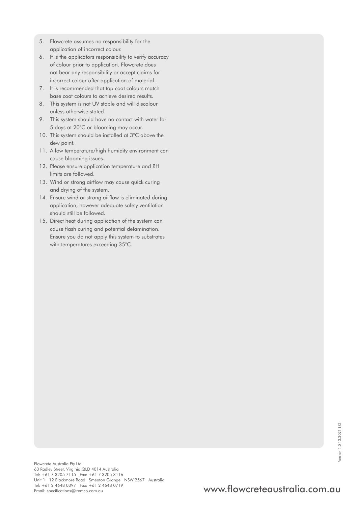- 5. Flowcrete assumes no responsibility for the application of incorrect colour.
- 6. It is the applicators responsibility to verify accuracy of colour prior to application. Flowcrete does not bear any responsibility or accept claims for incorrect colour after application of material.
- 7. It is recommended that top coat colours match base coat colours to achieve desired results.
- 8. This system is not UV stable and will discolour unless otherwise stated.
- 9. This system should have no contact with water for 5 days at 20°C or blooming may occur.
- 10. This system should be installed at 3°C above the dew point.
- 11. A low temperature/high humidity environment can cause blooming issues.
- 12. Please ensure application temperature and RH limits are followed.
- 13. Wind or strong airflow may cause quick curing and drying of the system.
- 14. Ensure wind or strong airflow is eliminated during application, however adequate safety ventilation should still be followed.
- 15. Direct heat during application of the system can cause flash curing and potential delamination. Ensure you do not apply this system to substrates with temperatures exceeding 35°C.